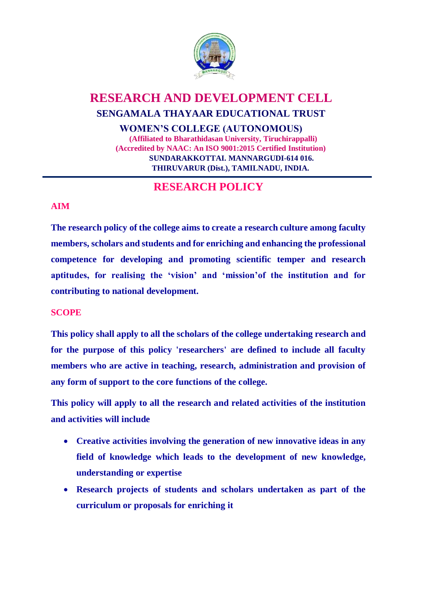

# **RESEARCH AND DEVELOPMENT CELL SENGAMALA THAYAAR EDUCATIONAL TRUST WOMEN'S COLLEGE (AUTONOMOUS)**

**(Affiliated to Bharathidasan University, Tiruchirappalli) (Accredited by NAAC: An ISO 9001:2015 Certified Institution) SUNDARAKKOTTAI. MANNARGUDI-614 016. THIRUVARUR (Dist.), TAMILNADU, INDIA.**

## **RESEARCH POLICY**

### **AIM**

**The research policy of the college aims to create a research culture among faculty members, scholars and students and for enriching and enhancing the professional competence for developing and promoting scientific temper and research aptitudes, for realising the 'vision' and 'mission'of the institution and for contributing to national development.**

### **SCOPE**

**This policy shall apply to all the scholars of the college undertaking research and for the purpose of this policy 'researchers' are defined to include all faculty members who are active in teaching, research, administration and provision of any form of support to the core functions of the college.**

**This policy will apply to all the research and related activities of the institution and activities will include**

- **Creative activities involving the generation of new innovative ideas in any field of knowledge which leads to the development of new knowledge, understanding or expertise**
- **Research projects of students and scholars undertaken as part of the curriculum or proposals for enriching it**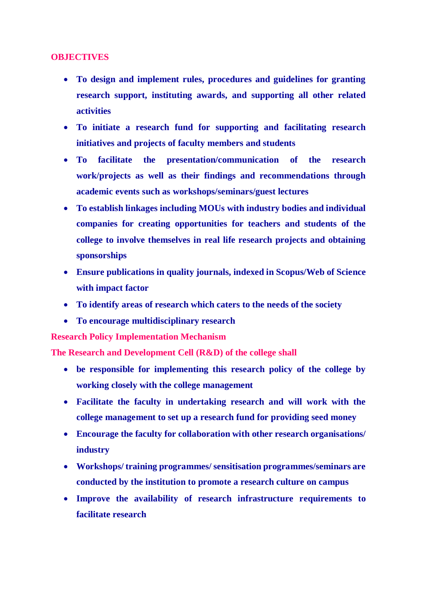#### **OBJECTIVES**

- **To design and implement rules, procedures and guidelines for granting research support, instituting awards, and supporting all other related activities**
- **To initiate a research fund for supporting and facilitating research initiatives and projects of faculty members and students**
- **To facilitate the presentation/communication of the research work/projects as well as their findings and recommendations through academic events such as workshops/seminars/guest lectures**
- **To establish linkages including MOUs with industry bodies and individual companies for creating opportunities for teachers and students of the college to involve themselves in real life research projects and obtaining sponsorships**
- **Ensure publications in quality journals, indexed in Scopus/Web of Science with impact factor**
- **To identify areas of research which caters to the needs of the society**
- **To encourage multidisciplinary research**

**Research Policy Implementation Mechanism** 

**The Research and Development Cell (R&D) of the college shall**

- **be responsible for implementing this research policy of the college by working closely with the college management**
- **Facilitate the faculty in undertaking research and will work with the college management to set up a research fund for providing seed money**
- **Encourage the faculty for collaboration with other research organisations/ industry**
- **Workshops/ training programmes/ sensitisation programmes/seminars are conducted by the institution to promote a research culture on campus**
- **Improve the availability of research infrastructure requirements to facilitate research**